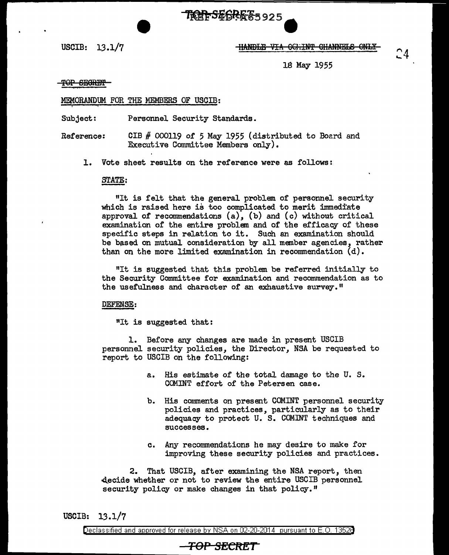USCIB:  $13.1/7$   $\qquad \qquad$   $\qquad \qquad$   $\qquad$   $\qquad$   $\qquad$   $\qquad$   $\qquad$   $\qquad$   $\qquad$   $\qquad$   $\qquad$   $\qquad$   $\qquad$   $\qquad$   $\qquad$   $\qquad$   $\qquad$   $\qquad$   $\qquad$   $\qquad$   $\qquad$   $\qquad$   $\qquad$   $\qquad$   $\qquad$   $\qquad$   $\qquad$   $\qquad$   $\qquad$   $\qquad$   $\qquad$   $\qquad$   $\qquad$ 

18 May 1955

#### TOP SECRET

#### MEMORANDUM FOR THE MEMBERS OF USCIB:

Subject: Personnel Security Standards.

Reference: CIB # 000119 of *5* May 1955 (distributed to Bo2rd and Executive Committee Members only).

TREFSE6RE 5925

1. Vote sheet results on the reference were as follows:

# STATE: STATE

"It is felt that the general problem of personnel security which is raised here is too complicated to merit immediate approval of recommendations  $(a)$ ,  $(b)$  and  $(c)$  without critical examination of the entire problem and of the efficacy of these specific steps in relation to it. Such an examination should be based on mutual consideration by all member agencies, rather than on the more limited examination in recommendation  $(d)$ .

"It is suggested that this problem be referred initially to the Security Committee for examination and recommendation as to the usefulness and character of an exhaustive survey."

DEFENSE:

"It is suggested that:

1. Before any changes are made in present USCIB personnel security policies, the Director, NSA be requested to report to USCIB on the following:

- a. His estimate of the total damage to the U. S. COMINT effort of the Petersen case.
- b. His comments on present COMINT personnel security policies and practices, particularly as to their adequacy to protect U. S. COMINT techniques and successes.
- c. Any reconunendations he may desire to make for improving these security policies and practices.

2. That USCIB, after examining the NSA report, then decide whether or not to review the entire USCIB personnel security policy or make changes in that policy."

USCIB: 13.1/7

Declassified and approved for release by NSA on 02-20-2014 pursuant to E. 0. 1352B

# **TOP SECN:ET**

^4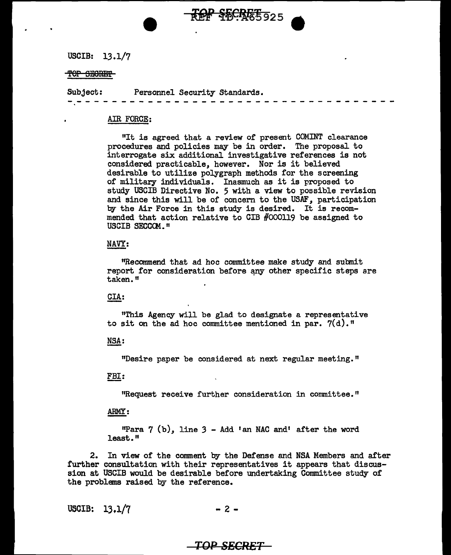USCIB: 13 .1/7

#### TOP SECRET

Subject: Personnel Security Standards.

#### AIR FORCE:

"It is agreed that a review of present COMINT clearance procedures and policies may be in order. The proposal to interrogate six additional investigative references is not considered practicable, however. Nor is it believed desirable to utilize polygraph methods for the screening of military individuals. Inasmuch as it is proposed to study USCIB Directive No. 5 with a view to possible revision and since this will be of concern to the USAF, participation by the Air Force in this study is desired. It is recommended that action relative to CIB #000119 be assigned to USCIB SECCOM."

OF SECRETS 925

#### NAVY:

"Recommend that ad hoc committee make study and submit report for consideration before any other specific steps are taken."

#### CIA:

"This Agency will be glad to designate a representative to sit on the ad hoc committee mentioned in par.  $7(d)$ . "

#### NSA:

"Desire paper be considered at next regular meeting."

#### FBI:

<sup>11</sup>Request receive further consideration in committee."

#### ARMY:

11Para 7 (b), line *3* - Add 'an NAC and' after the word least."

2. In view of the comment by the Defense and NSA Members and after further consultation with their representatives it appears that discussion at USCIB would be desirable before undertaking Committee study of the problems raised by the reference.

USCIB:  $13.1/7$  - 2 -

### *TOP SECRET*